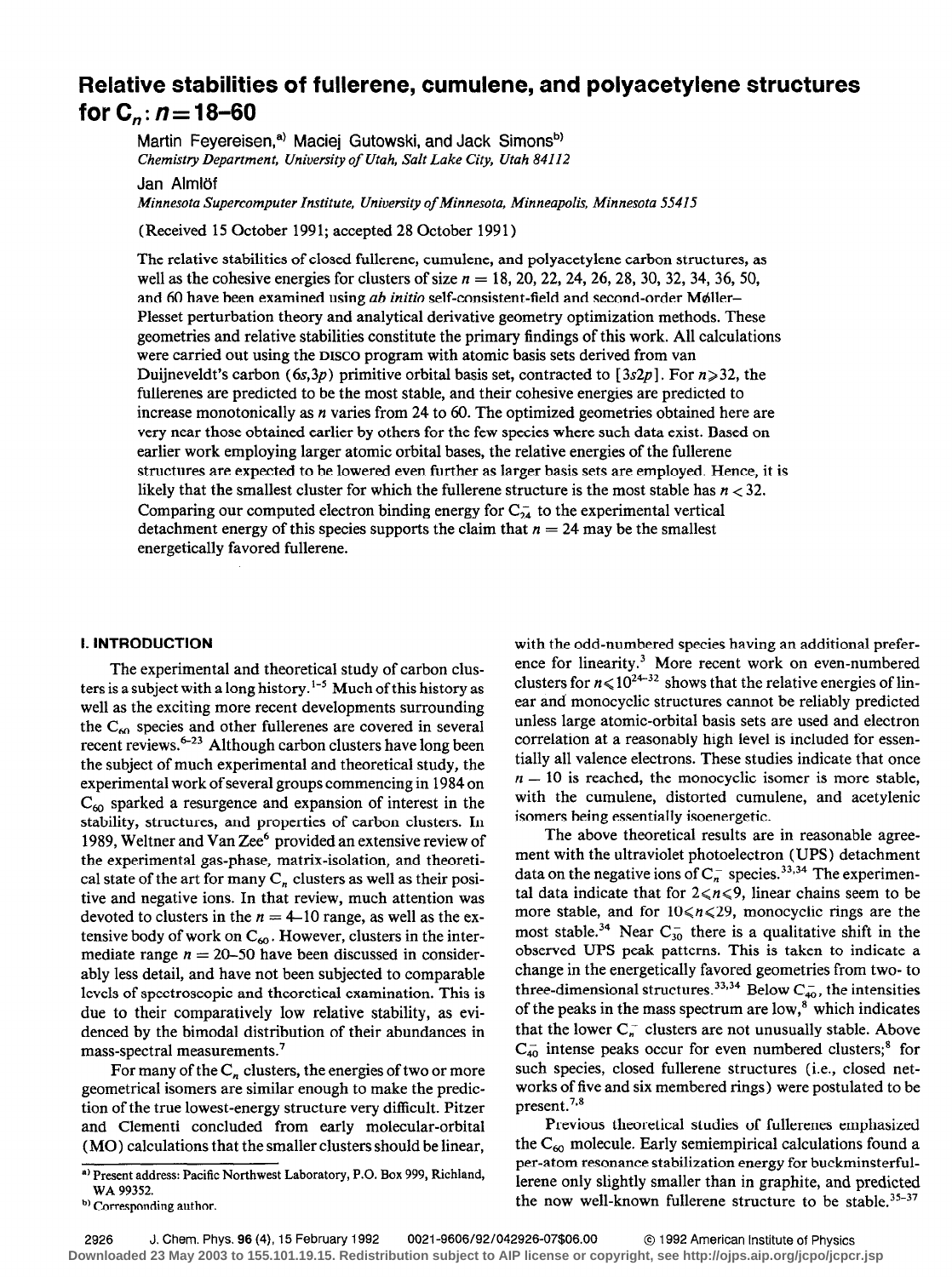# Relative stabilities of fullerene, cumulene, and polyacetylene structures for  $C_n: n=18-60$

Martin Feyereisen,<sup>a)</sup> Maciej Gutowski, and Jack Simons<sup>b)</sup> Chemistry Department, University of Utah, Salt Lake City, Utah 84112

Jan Almlöf

Minnesota Supercomputer Institute, University of Minnesota, Minneapolis, Minnesota 55415

(Received 15 October 1991; accepted 28 October 1991)

The relative stabilities of closed fullerene, cumulene, and polyacetylene carbon structures, as well as the cohesive energies for clusters of size  $n = 18, 20, 22, 24, 26, 28, 30, 32, 34, 36, 50,$ and 60 have been examined using ab initio self-consistent-field and second-order Møller-Plesset perturbation theory and analytical derivative geometry optimization methods. These geometries and relative stabilities constitute the primary findings of this work. All calculations were carried out using the DISCO program with atomic basis sets derived from van Duijneveldt's carbon (6s,3p) primitive orbital basis set, contracted to [3s2p]. For  $n \ge 32$ , the fullerenes are predicted to be the most stable, and their cohesive energies are predicted to increase monotonically as *n* varies from 24 to 60. The optimized geometries obtained here are very near those obtained earlier by others for the few species where such data exist. Based on earlier work employing larger atomic orbital bases, the relative energies of the fullerene structures are expected to be lowered even further as larger basis sets are employed. Hence, it is likely that the smallest cluster for which the fullerene structure is the most stable has  $n < 32$ . Comparing our computed electron binding energy for  $C_{24}^-$  to the experimental vertical detachment energy of this species supports the claim that  $n = 24$  may be the smallest energetically favored fullerene.

## I. INTRODUCTION

The experimental and theoretical study of carbon clusters is a subject with a long history.<sup>1-5</sup> Much of this history as well as the exciting more recent developments surrounding the C<sub>60</sub> species and other fullerenes are covered in several recent reviews.<sup>6-23</sup> Although carbon clusters have long been the subject of much experimental and theoretical study, the experimental work of several groups commencing in 1984 on  $C_{60}$  sparked a resurgence and expansion of interest in the stability, structures, and properties of carbon clusters. In 1989, Weltner and Van Zee<sup>6</sup> provided an extensive review of the experimental gas-phase, matrix-isolation, and theoretical state of the art for many  $C_n$  clusters as well as their positive and negative ions. In that review, much attention was devoted to clusters in the  $n = 4$ -10 range, as well as the extensive body of work on  $C_{60}$ . However, clusters in the intermediate range  $n = 20-50$  have been discussed in considerably less detail, and have not been subjected to comparable levels of spectroscopic and theoretical examination. This is due to their comparatively low relative stability, as evidenced by the bimodal distribution of their abundances in mass-spectral measurements.'

For many of the  $C_n$  clusters, the energies of two or more geometrical isomers are similar enough to make the prediction of the true lowest-energy structure very difficult. Pitzer and Clementi concluded from early molecular-orbital (MO) calculations that the smaller clusters should be linear, with the odd-numbered species having an additional preference for linearity.<sup>3</sup> More recent work on even-numbered clusters for  $n \le 10^{24-32}$  shows that the relative energies of linear and monocyclic structures cannot be reliably predicted unless large atomic-orbital basis sets are used and electron correlation at a reasonably high level is included for essentially all valence electrons. These studies indicate that once  $n = 10$  is reached, the monocyclic isomer is more stable, with the cumulene, distorted cumulene, and acetylenic isomers being essentially isoenergetic.

The above theoretical results are in reasonable agreement with the ultraviolet photoelectron (UPS) detachment data on the negative ions of  $C_n^-$  species.<sup>33,34</sup> The experimental data indicate that for  $2 \le n \le 9$ , linear chains seem to be more stable, and for  $10 \le n \le 29$ , monocyclic rings are the most stable.<sup>34</sup> Near  $C_{30}^-$  there is a qualitative shift in the observed UPS peak patterns. This is taken to indicate a change in the energetically favored geometries from two- to three-dimensional structures.<sup>33,34</sup> Below  $C_{40}^-$ , the intensities of the peaks in the mass spectrum are  $low, ^{8}$  which indicates that the lower  $C_n^-$  clusters are not unusually stable. Above  $C_{40}^-$  intense peaks occur for even numbered clusters;<sup>8</sup> for such species, closed fullerene structures (i.e., closed networks of five and six membered rings) were postulated to be present.<sup>7,8</sup>

Previous theoretical studies of fullerenes emphasized the  $C_{60}$  molecule. Early semiempirical calculations found a per-atom resonance stabilization energy for buckminsterfullerene only slightly smaller than in graphite, and predicted the now well-known fullerene structure to be stable.<sup>35-37</sup>

a) Present address: Pacific Northwest Laboratory, P.O. Box 999, Richland, WA 99352.

<sup>&</sup>lt;sup>b)</sup> Corresponding author.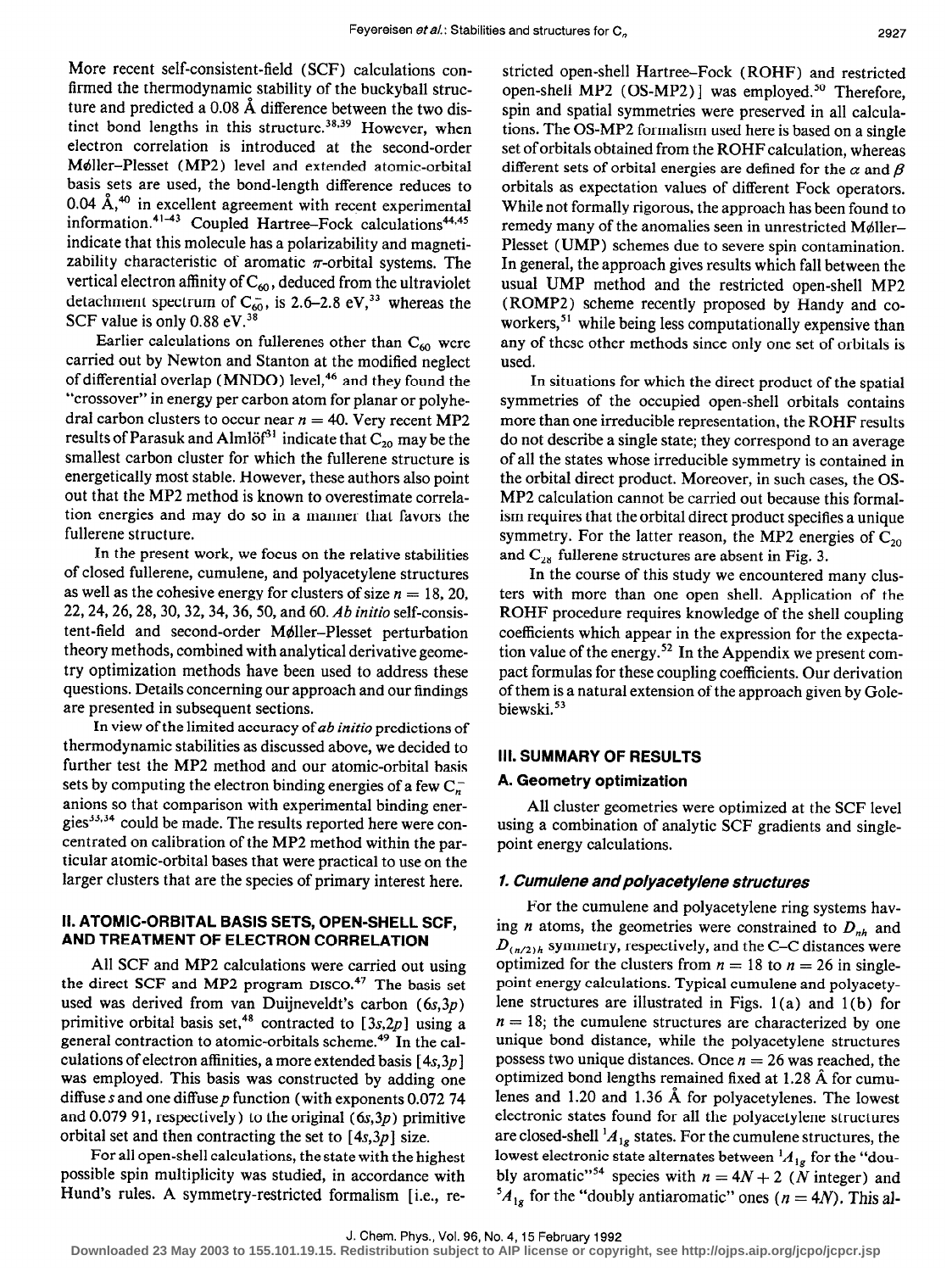More recent self-consistent-field (SCF) calculations confirmed the thermodynamic stability of the buckyball structure and predicted a 0.08 A difference between the two distinct bond lengths in this structure.<sup>38,39</sup> However, when electron correlation is introduced at the second-order Mdller-Plesset (MP2) level and extended atomic-orbital basis sets are used, the bond-length difference reduces to  $0.04$  A,<sup> $40$ </sup> in excellent agreement with recent experimental  $\text{information.}$   $\text{``}$  Coupled Hartree-Fock calculations<sup> $\text{H}_1$ +</sup> indicate that this molecule has a polarizability and magnetizability characteristic of aromatic  $\pi$ -orbital systems. The vertical electron affinity of  $C_{60}$ , deduced from the ultraviolet detachment spectrum of  $C_{60}$ , is 2.6–2.8 eV,<sup>33</sup> whereas the SCF value is only 0.88 eV.<sup>38</sup>

Earlier calculations on fullerenes other than  $C_{60}$  were carried out by Newton and Stanton at the modified neglect of differential overlap (MNDO) leve1,46 and they found the "crossover" in energy per carbon atom for planar or polyhedral carbon clusters to occur near  $n = 40$ . Very recent MP2 results of Parasuk and Almlöf<sup>31</sup> indicate that  $C_{20}$  may be the smallest carbon cluster for which the fullerene structure is energetically most stable. However, these authors also point out that the MP2 method is known to overestimate correlation energies and may do so in a manner that favors the fullerene structure.

In the present work, we focus on the relative stabilities of closed fullerene, cumulene, and polyacetylene structures as well as the cohesive energy for clusters of size  $n = 18, 20$ , 22,24,26,28,30,32,34,36, 50, and 60. Ab initio self-consistent-field and second-order Mdller-Plesset perturbation theory methods, combined with analytical derivative geometry optimization methods have been used to address these questions. Details concerning our approach and our findings are presented in subsequent sections.

In view of the limited accuracy of ab initio predictions of thermodynamic stabilities as discussed above, we decided to further test the MP2 method and our atomic-orbital basis sets by computing the electron binding energies of a few  $C_{n}^{-}$ anions so that comparison with experimental binding energies<sup>33,34</sup> could be made. The results reported here were concentrated on calibration of the MP2 method within the particular atomic-orbital bases that were practical to use on the larger clusters that are the species of primary interest here.

# II. ATOMIC-ORBITAL BASIS SETS, OPEN-SHELL SCF, AND TREATMENT OF ELECTRON CORRELATION

All SCF and MP2 calculations were carried out using the direct SCF and MP2 program DISCO.<sup>47</sup> The basis set used was derived from van Duijneveldt's carbon (6s,3p) primitive orbital basis set,<sup>48</sup> contracted to [3s,2p] using a general contraction to atomic-orbitals scheme.49 In the calculations of electron affinities, a more extended basis  $[4s,3p]$ was employed. This basis was constructed by adding one diffuse s and one diffuse  $p$  function (with exponents 0.072 74 and 0.079 91, respectively) to the original  $(6s,3p)$  primitive orbital set and then contracting the set to  $[4s,3p]$  size.

For all open-shell calculations, the state with the highest possible spin multiplicity was studied, in accordance with Hund's rules. A symmetry-restricted formalism [i.e., restricted open-shell Hartree-Fock (ROHF) and restricted open-shell MP2 (OS-MP2)] was employed.<sup>50</sup> Therefore, spin and spatial symmetries were preserved in all calculations. The OS-MP2 formalism used here is based on a single set of orbitals obtained from the ROHF calculation, whereas different sets of orbital energies are defined for the  $\alpha$  and  $\beta$ orbitals as expectation values of different Fock operators. While not formally rigorous, the approach has been found to remedy many of the anomalies seen in unrestricted Møller-Plesset (UMP) schemes due to severe spin contamination. In general, the approach gives results which fall between the usual UMP method and the restricted open-shell MP2 (ROMP2) scheme recently proposed by Handy and coworkers,<sup>51</sup> while being less computationally expensive than any of these other methods since only one set of orbitals is used.

In situations for which the direct product of the spatial symmetries of the occupied open-shell orbitals contains more than one irreducible representation, the ROHF results do not describe a single state; they correspond to an average of all the states whose irreducible symmetry is contained in the orbital direct product. Moreover, in such cases, the OS-MP2 calculation cannot be carried out because this formalism requires that the orbital direct product specifies a unique symmetry. For the latter reason, the MP2 energies of  $C_{20}$ and  $C_{28}$  fullerene structures are absent in Fig. 3.

In the course of this study we encountered many clusters with more than one open shell. Application of the ROHF procedure requires knowledge of the shell coupling coefficients which appear in the expression for the expectation value of the energy.<sup>52</sup> In the Appendix we present compact formulas for these coupling coefficients. Our derivation of them is a natural extension of the approach given by Golebiewski.53

## Ill. SUMMARY OF RESULTS

#### A. Geometry optimization

All cluster geometries were optimized at the SCF level using a combination of analytic SCF gradients and singlepoint energy calculations.

## 1. Cumulene and polyacetyiene structures

For the cumulene and polyacetylene ring systems having *n* atoms, the geometries were constrained to  $D_{nh}$  and  $D_{(n/2),h}$  symmetry, respectively, and the C-C distances were optimized for the clusters from  $n = 18$  to  $n = 26$  in singlepoint energy calculations. Typical cumulene and polyacetylene structures are illustrated in Figs. 1 (a) and 1 (b) for  $n = 18$ ; the cumulene structures are characterized by one unique bond distance, while the polyacetylene structures possess two unique distances. Once  $n = 26$  was reached, the optimized bond lengths remained fixed at 1.28 A for cumulenes and 1.20 and 1.36 A for polyacetylenes. The lowest electronic states found for all the polyacetylene structures are closed-shell  ${}^{1}A_{1g}$  states. For the cumulene structures, the lowest electronic state alternates between  ${}^{1}A_{1g}$  for the "doubly aromatic<sup>"54</sup> species with  $n = 4N + 2$  (N integer) and  ${}^5A_{1g}$  for the "doubly antiaromatic" ones (n = 4N). This al-

**Downloaded 23 May 2003 to 155.101.19.15. Redistribution subject to AIP license or copyright, see http://ojps.aip.org/jcpo/jcpcr.jsp**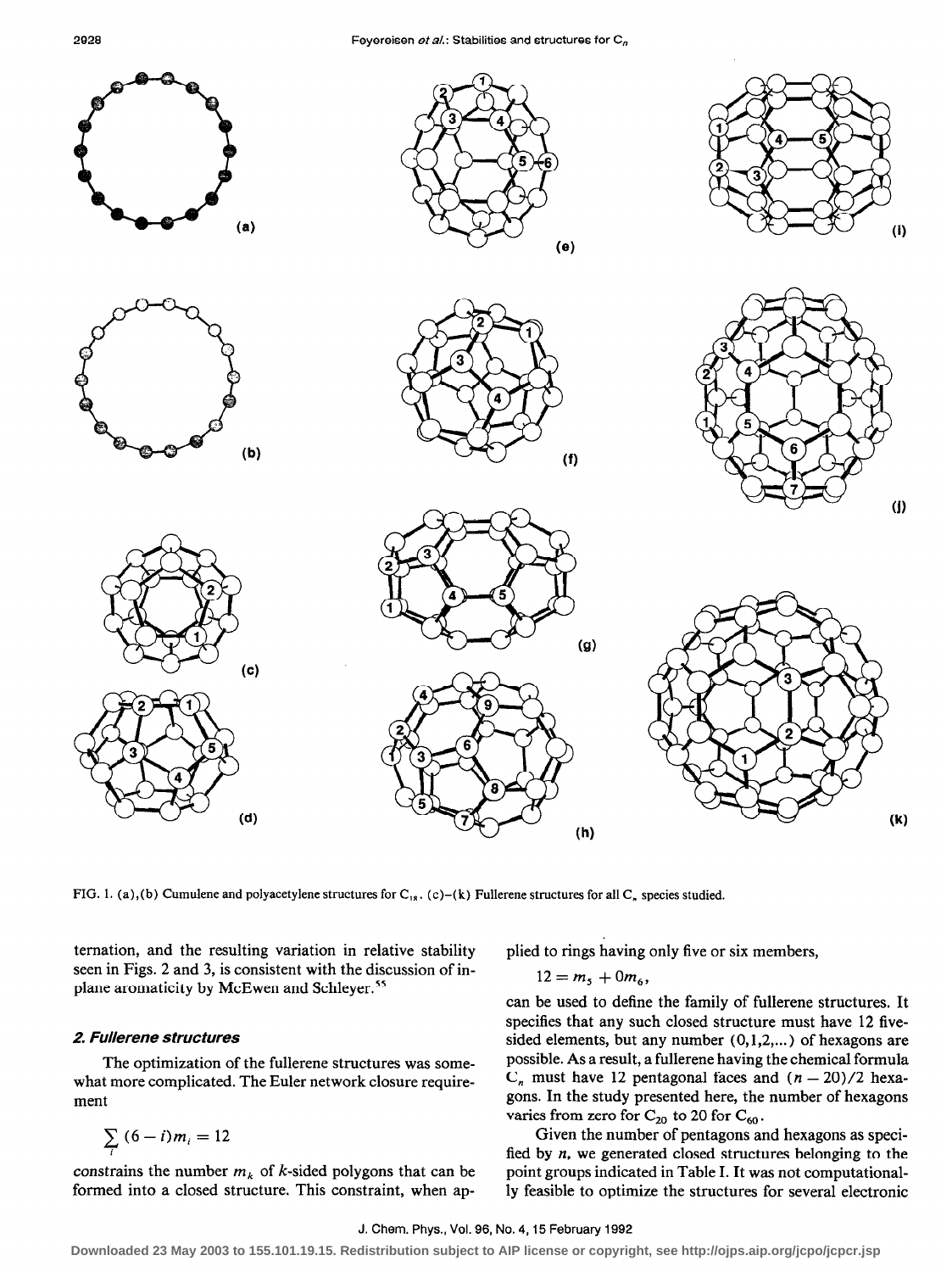

FIG. 1. (a),(b) Cumulene and polyacetylene structures for C<sub>18</sub>. (c)-(k) Fullerene structures for all C<sub>n</sub> species studied.

ternation, and the resulting variation in relative stability plied to rings having only five or six members, seen in Figs. 2 and 3, is consistent with the discussion of inplane aromaticity by McEwen and Schleyer.'5

#### 2. Fullerene structures

The optimization of the fullerene structures was somewhat more complicated. The Euler network closure requirement

$$
\sum_i{(6-i)m_i}=12
$$

constrains the number  $m_k$  of k-sided polygons that can be formed into a closed structure. This constraint, when ap-

 $12 = m_5 + 0m_6,$ 

can be used to define the family of fullerene structures, It specifies that any such closed structure must have 12 fivesided elements, but any number  $(0,1,2,...)$  of hexagons are possible. As a result, a fullerene having the chemical formula  $C_n$  must have 12 pentagonal faces and  $(n - 20)/2$  hexagons. In the study presented here, the number of hexagons varies from zero for  $C_{20}$  to 20 for  $C_{60}$ .

Given the number of pentagons and hexagons as specified by  $n$ , we generated closed structures belonging to the point groups indicated in Table I. It was not computationally feasible to optimize the structures for several electronic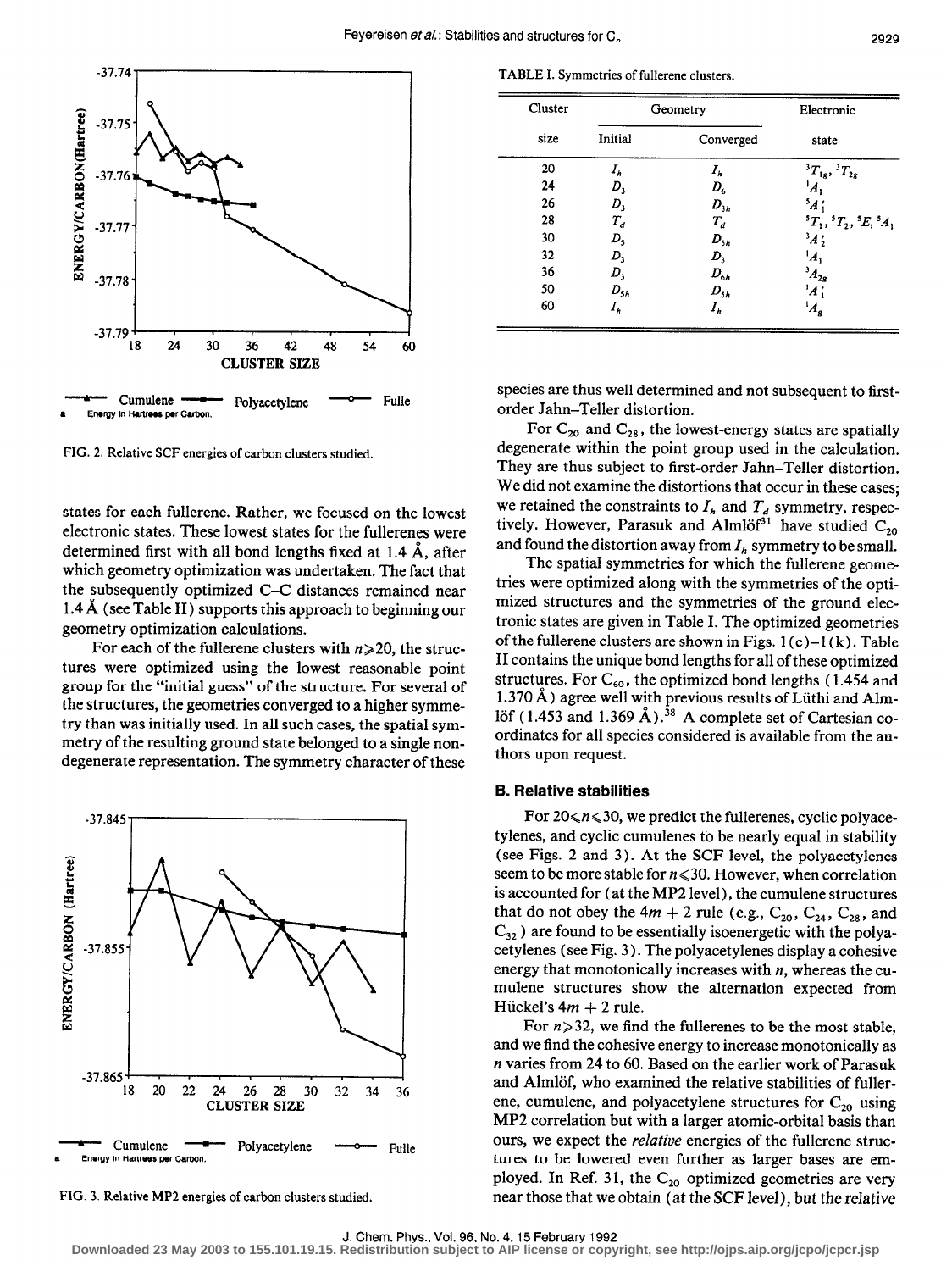

FIG. 2. Relative SCF energies of carbon clusters studied.

states for each fullerene. Rather, we focused on the lowest electronic states. These lowest states for the fullerenes were determined first with all bond lengths fixed at  $1.4 \text{ Å}$ , after which geometry optimization was undertaken. The fact that the subsequently optimized C-C distances remained near 1.4A (see Table II) supports this approach to beginning our geometry optimization calculations.

For each of the fullerene clusters with  $n \geq 20$ , the structures were optimized using the lowest reasonable point group for the "initial guess" of the structure. For several of the structures, the geometries converged to a higher symmetry than was initially used. In all such cases, the spatial symmetry of the resulting ground state belonged to a single nondegenerate representation. The symmetry character of these



FIG. 3. Relative MP2 energies of carbon clusters studied.

TABLE I. Symmetries of fullerene clusters.

| Cluster |             | Geometry  | Electronic                                                |
|---------|-------------|-----------|-----------------------------------------------------------|
| size    | Initial     | Converged | state                                                     |
| 20      | $I_h$       | $I_h$     | ${}^{3}T_{1g}$ , ${}^{3}T_{2g}$                           |
| 24      | $D_{3}$     | $D_{6}$   | ١λ,                                                       |
| 26      | D,          | $D_{3h}$  | $^5$ A (                                                  |
| 28      | $T_{d}$     | $T_d$     | ${}^{5}T_{1}$ , ${}^{5}T_{2}$ , ${}^{5}E$ , ${}^{5}A_{1}$ |
| 30      | $D_{\rm s}$ | $D_{5h}$  | $3\cancel{A}$ $\cancel{2}$                                |
| 32      | $D_3$       | $D_{3}$   | 'A,                                                       |
| 36      | $D_{3}$     | $D_{6h}$  | $^{3}A_{2g}$                                              |
| 50      | $D_{5h}$    | $D_{5h}$  | 'A'                                                       |
| 60      | $I_h$       | $I_h$     | $A_{g}$                                                   |

species are thus well determined and not subsequent to firstorder Jahn-Teller distortion.

For  $C_{20}$  and  $C_{28}$ , the lowest-energy states are spatially degenerate within the point group used in the calculation. They are thus subject to first-order Jahn-Teller distortion. We did not examine the distortions that occur in these cases; we retained the constraints to  $I_h$  and  $T_d$  symmetry, respectively. However, Parasuk and Almlöf<sup>31</sup> have studied  $C_{20}$ and found the distortion away from  $I_h$  symmetry to be small.

The spatial symmetries for which the fullerene geometries were optimized along with the symmetries of the optimized structures and the symmetries of the ground electronic states are given in Table I. The optimized geometries of the fullerene clusters are shown in Figs.  $1(c)-1(k)$ . Table II contains the unique bond lengths for all of these optimized structures. For  $C_{60}$ , the optimized bond lengths (1.454 and 1.370 A) agree well with previous results of Liithi and Almlöf (1.453 and 1.369 Å).<sup>38</sup> A complete set of Cartesian coordinates for all species considered is available from the authors upon request.

#### 6. Relative stabilities

For  $20 \le n \le 30$ , we predict the fullerenes, cyclic polyacetylenes, and cyclic cumulenes to be nearly equal in stability (see Figs. 2 and 3). At the SCF level, the polyacetylenes seem to be more stable for  $n \le 30$ . However, when correlation is accounted for (at the MP2 level), the cumulene structures that do not obey the  $4m + 2$  rule (e.g.,  $C_{20}$ ,  $C_{24}$ ,  $C_{28}$ , and  $C_{32}$ ) are found to be essentially isoenergetic with the polyacetylenes (see Fig. 3 ) . The polyacetylenes display a cohesive energy that monotonically increases with  $n$ , whereas the cumulene structures show the alternation expected from Hückel's  $4m + 2$  rule.

For  $n \geq 32$ , we find the fullerenes to be the most stable, and we find the cohesive energy to increase monotonically as n varies from 24 to 60. Based on the earlier work of Parasuk and Almlöf, who examined the relative stabilities of fullerene, cumulene, and polyacetylene structures for  $C_{20}$  using MP2 correlation but with a larger atomic-orbital basis than ours, we expect the relative energies of the fullerene structures to be lowered even further as larger bases are employed. In Ref. 31, the  $C_{20}$  optimized geometries are very near those that we obtain (at the SCF level), but the relative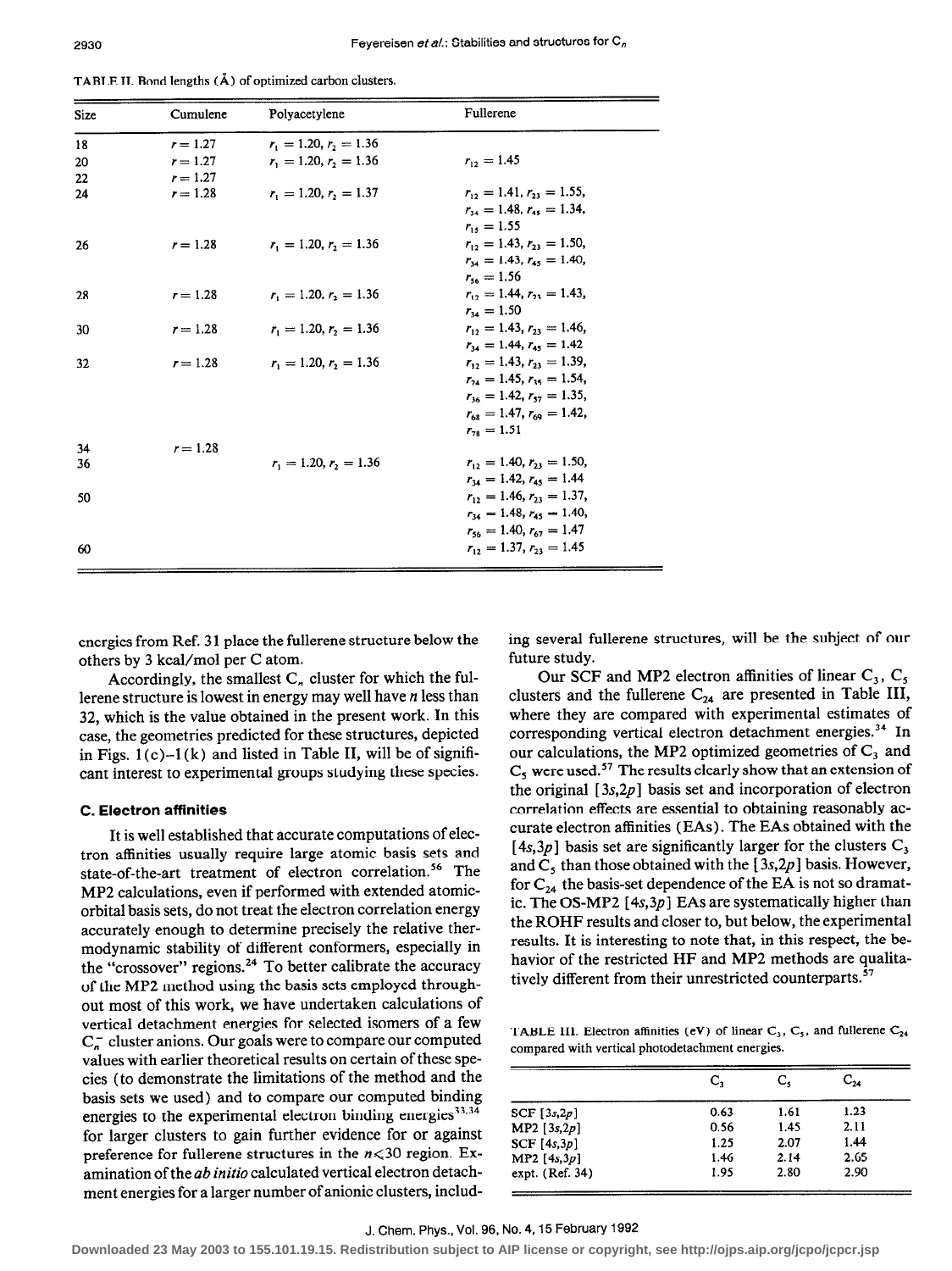| TABLE II. Bond lengths (A) of optimized carbon clusters. |  |  |
|----------------------------------------------------------|--|--|
|----------------------------------------------------------|--|--|

| <b>Size</b> | Cumulene   | Polyacetylene                        | Fullerene                       |
|-------------|------------|--------------------------------------|---------------------------------|
| 18          | $r = 1.27$ | $r_{\rm i} = 1.20, r_{\rm i} = 1.36$ |                                 |
| 20          | $r = 1.27$ | $r_1 = 1.20, r_2 = 1.36$             | $r_{12} = 1.45$                 |
| 22          | $r = 1.27$ |                                      |                                 |
| 24          | $r = 1.28$ | $r_1 = 1.20, r_2 = 1.37$             | $r_{12} = 1.41, r_{22} = 1.55,$ |
|             |            |                                      | $r_{14} = 1.48, r_{45} = 1.34,$ |
|             |            |                                      | $r_{15} = 1.55$                 |
| 26          | $r = 1.28$ | $r_1 = 1.20, r_2 = 1.36$             | $r_{12} = 1.43, r_{21} = 1.50$  |
|             |            |                                      | $r_{14} = 1.43, r_{45} = 1.40,$ |
|             |            |                                      | $r_{\rm{ss}} = 1.56$            |
| 28          | $r = 1.28$ | $r_1 = 1.20, r_2 = 1.36$             | $r_{12} = 1.44, r_{22} = 1.43$  |
|             |            |                                      | $r_{14} = 1.50$                 |
| 30          | $r = 1.28$ | $r_1 = 1.20, r_2 = 1.36$             | $r_{12} = 1.43, r_{23} = 1.46,$ |
|             |            |                                      | $r_{14} = 1.44, r_{45} = 1.42$  |
| 32          | $r = 1.28$ | $r_{\rm t} = 1.20, r_{\rm t} = 1.36$ | $r_{12} = 1.43, r_{23} = 1.39,$ |
|             |            |                                      | $r_{24} = 1.45, r_{35} = 1.54,$ |
|             |            |                                      | $r_{16} = 1.42, r_{57} = 1.35,$ |
|             |            |                                      | $r_{68} = 1.47, r_{69} = 1.42,$ |
|             |            |                                      | $r_{10} = 1.51$                 |
| 34          | $r = 1.28$ |                                      |                                 |
| 36          |            | $r_1 = 1.20, r_2 = 1.36$             | $r_{12} = 1.40, r_{23} = 1.50$  |
|             |            |                                      | $r_{14} = 1.42, r_{45} = 1.44$  |
| 50          |            |                                      | $r_{12} = 1.46, r_{21} = 1.37,$ |
|             |            |                                      | $r_{14} = 1.48, r_{45} = 1.40,$ |
|             |            |                                      | $r_{ss} = 1.40, r_{ss} = 1.47$  |
| 60          |            |                                      | $r_{12} = 1.37, r_{22} = 1.45$  |
|             |            |                                      |                                 |

others by 3 kcal/mol per C atom.

Accordingly, the smallest  $C_n$  cluster for which the fullerene structure is lowest in energy may well have n less than 32, which is the value obtained in the present work. In this case, the geometries predicted for these structures, depicted in Figs.  $1(c)-1(k)$  and listed in Table II, will be of significant interest to experimental groups studying these species.

# C. Electron affinities

It is well established that accurate computations of electron affinities usually require large atomic basis sets and state-of-the-art treatment of electron correlation.<sup>56</sup> The MP2 calculations, even if performed with extended atomicorbital basis sets, do not treat the electron correlation energy accurately enough to determine precisely the relative thermodynamic stability of different conformers, especially in the "crossover" regions.<sup>24</sup> To better calibrate the accuracy of the MP2 method using the basis sets employed throughout most of this work, we have undertaken calculations of vertical detachment energies for selected isomers of a few  $C_n^-$  cluster anions. Our goals were to compare our computed values with earlier theoretical results on certain of these species (to demonstrate the limitations of the method and the basis sets we used) and to compare our computed binding energies to the experimental electron binding energies<sup>33,34</sup> for larger clusters to gain further evidence for or against preference for fullerene structures in the  $n \le 30$  region. Examination of the ab initio calculated vertical electron detachment energies for a larger number of anionic clusters, includ-

energies from Ref. 31 place the fullerene structure below the ing several fullerene structures, will be the subject of our others by 3 kcal/mol per C atom.

Our SCF and MP2 electron affinities of linear  $C_3$ ,  $C_5$ clusters and the fullerene  $C_{24}$  are presented in Table III, where they are compared with experimental estimates of corresponding vertical electron detachment energies.<sup>34</sup> In our calculations, the MP2 optimized geometries of  $C_3$  and  $C<sub>s</sub>$  were used.<sup>57</sup> The results clearly show that an extension of the original  $[3s,2p]$  basis set and incorporation of electron correlation effects are essential to obtaining reasonably accurate electron affinities (EAs) . The EAs obtained with the [4s,3p] basis set are significantly larger for the clusters  $C_3$ and  $C_5$  than those obtained with the [3s,2p] basis. However, for  $C_{24}$  the basis-set dependence of the EA is not so dramatic. The OS-MP2  $[4s,3p]$  EAs are systematically higher than the ROHF results and closer to, but below, the experimental results. It is interesting to note that, in this respect, the behavior of the restricted HF and MP2 methods are qualitatively different from their unrestricted counterparts.<sup>57</sup>

TABLE III. Electron affinities (eV) of linear  $C_3$ ,  $C_5$ , and fullerene  $C_{24}$ compared with vertical photodetachment energies.

|                 | c,   | c.   | $\mathbb{C}_{24}$ |
|-----------------|------|------|-------------------|
| SCF $[3s,2p]$   | 0.63 | 1.61 | 1.23              |
| MP2 [3s, 2p]    | 0.56 | 1.45 | 2.11              |
| SCF[4s,3p]      | 1.25 | 2.07 | 1.44              |
| MP2 [ $4s,3p$ ] | 1.46 | 2.14 | 2.65              |
| expt. (Ref. 34) | 1.95 | 2.80 | 2.90              |

# J. Chem. Phys., Vol. 96, No. 4,15 February 1992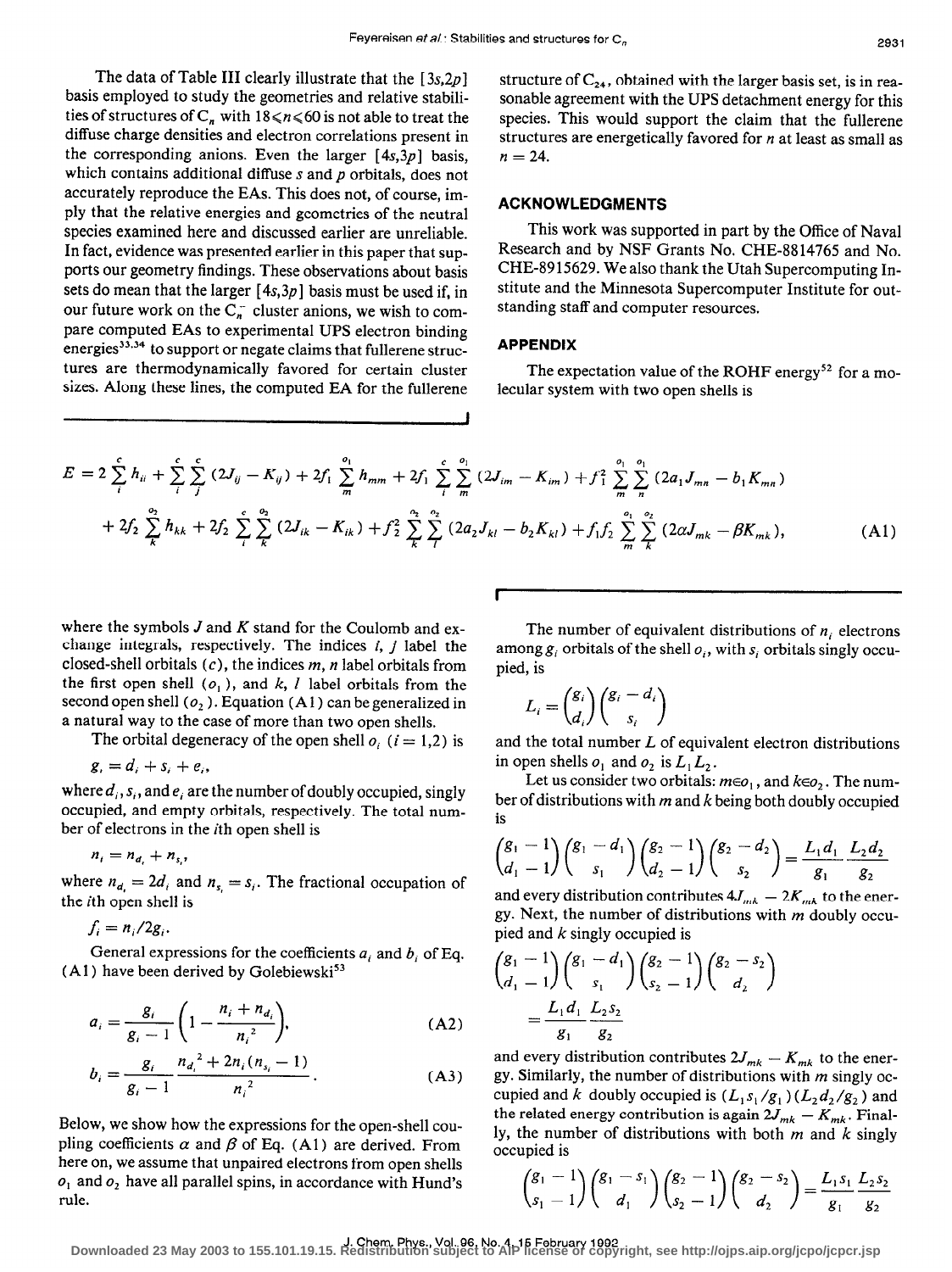The data of Table III clearly illustrate that the  $[3s,2p]$ basis employed to study the geometries and relative stabilities of structures of  $C_n$  with  $18 \le n \le 60$  is not able to treat the diffuse charge densities and electron correlations present in the corresponding anions. Even the larger  $[4s,3p]$  basis, which contains additional diffuse  $s$  and  $p$  orbitals, does not accurately reproduce the EAs. This does not, of course, imply that the relative energies and geometries of the neutral species examined here and discussed earlier are unreliable. In fact, evidence was presented earlier in this paper that supports our geometry findings. These observations about basis sets do mean that the larger  $[4s,3p]$  basis must be used if, in our future work on the  $C_n^-$  cluster anions, we wish to compare computed EAs to experimental UPS electron binding energies $33.34$  to support or negate claims that fullerene structures are thermodynamically favored for certain cluster sizes. Along these lines, the computed EA for the fullerene

structure of  $C_{24}$ , obtained with the larger basis set, is in reasonable agreement with the UPS detachment energy for this species. This would support the claim that the fullerene structures are energetically favored for  $n$  at least as small as  $n = 24$ .

#### ACKNOWLEDGMENTS

This work was supported in part by the Office of Naval Research and by NSF Grants No. CHE-8814765 and No. CHE-89 15629. We also thank the Utah Supercomputing Institute and the Minnesota Supercomputer Institute for outstanding staff and computer resources.

### APPENDIX

The expectation value of the ROHF energy<sup>52</sup> for a molecular system with two open shells is

$$
E = 2 \sum_{i}^{c} h_{ii} + \sum_{i}^{c} \sum_{j}^{c} (2J_{ij} - K_{ij}) + 2f_{1} \sum_{m}^{\sigma_{1}} h_{mm} + 2f_{1} \sum_{i}^{c} \sum_{m}^{\sigma_{1}} (2J_{im} - K_{im}) + f_{1}^{2} \sum_{m}^{\sigma_{1}} \sum_{n}^{\sigma_{1}} (2a_{1}J_{mn} - b_{1}K_{mn})
$$
  
+  $2f_{2} \sum_{k}^{\sigma_{2}} h_{kk} + 2f_{2} \sum_{i}^{c} \sum_{k}^{\sigma_{2}} (2J_{ik} - K_{ik}) + f_{2}^{2} \sum_{k}^{\sigma_{2}} \sum_{l}^{\sigma_{2}} (2a_{2}J_{kl} - b_{2}K_{kl}) + f_{1}f_{2} \sum_{m}^{\sigma_{1}} \sum_{k}^{\sigma_{2}} (2\alpha J_{mk} - \beta K_{mk}),$  (A1)

J

where the symbols  $J$  and  $K$  stand for the Coulomb and exchange integrals, respectively. The indices  $i, j$  label the closed-shell orbitals  $(c)$ , the indices  $m$ , n label orbitals from the first open shell  $(o_1)$ , and k, l label orbitals from the second open shell  $(o_2)$ . Equation (A1) can be generalized in a natural way to the case of more than two open shells.

The orbital degeneracy of the open shell  $o_i$  ( $i = 1,2$ ) is

$$
g_i = d_i + s_i + e_i,
$$

where  $d_i$ ,  $s_i$ , and  $e_i$  are the number of doubly occupied, singly occupied, and empty orbitals, respectively. The total number of electrons in the ith open shell is

$$
n_i = n_{d_i} + n_{s_i},
$$

where  $n_{d_i} = 2d_i$  and  $n_{s_i} = s_i$ . The fractional occupation of the ith open shell is

 $f_i = n_i/2g_i$ .

General expressions for the coefficients  $a_i$ , and  $b_i$ , of Eq. (A1) have been derived by Golebiewski<sup>53</sup>

$$
a_i = \frac{g_i}{g_i - 1} \left( 1 - \frac{n_i + n_{d_i}}{n_i^2} \right),
$$
 (A2)

$$
b_i = \frac{g_i}{g_i - 1} \frac{n_{a_i}^2 + 2n_i(n_{s_i} - 1)}{n_i^2}.
$$
 (A3)

Below, we show how the expressions for the open-shell coupling coefficients  $\alpha$  and  $\beta$  of Eq. (A1) are derived. From here on, we assume that unpaired electrons from open shells  $o_1$  and  $o_2$  have all parallel spins, in accordance with Hund's rule.

The number of equivalent distributions of  $n_i$  electrons among  $g_i$  orbitals of the shell  $o_i$ , with  $s_i$  orbitals singly occupied, is

$$
L_i = \binom{g_i}{d_i} \binom{g_i - d_i}{s_i}
$$

and the total number  $L$  of equivalent electron distributions in open shells  $o_1$  and  $o_2$  is  $L_1L_2$ .

Let us consider two orbitals:  $m \in o_1$ , and  $k \in o_2$ . The number of distributions with  $m$  and  $k$  being both doubly occupied is

$$
\binom{g_1-1}{d_1-1}\binom{g_1-d_1}{s_1}\binom{g_2-1}{d_2-1}\binom{g_2-d_2}{s_2}=\frac{L_1d_1}{g_1}\frac{L_2d_2}{g_2}
$$

and every distribution contributes  $4J_{mk} - 2K_{mk}$  to the energy. Next, the number of distributions with  $m$  doubly occupied and  $k$  singly occupied is

$$
\binom{g_1 - 1}{d_1 - 1} \binom{g_1 - d_1}{s_1} \binom{g_2 - 1}{s_2 - 1} \binom{g_2 - s_2}{d_2}
$$
  
= 
$$
\frac{L_1 d_1}{g_1} \frac{L_2 s_2}{g_2}
$$

and every distribution contributes  $2J_{mk} - K_{mk}$  to the energy. Similarly, the number of distributions with  $m$  singly occupied and k doubly occupied is  $(L_1 s_1 / g_1) (L_2 d_2 / g_2)$  and the related energy contribution is again  $2J_{mk} - K_{mk}$ . Finally, the number of distributions with both  $m$  and  $k$  singly occupied is

$$
\binom{g_1-1}{s_1-1}\binom{g_1-s_1}{d_1}\binom{g_2-1}{s_2-1}\binom{g_2-s_2}{d_2}=\frac{L_1s_1}{g_1}\frac{L_2s_2}{g_2}
$$